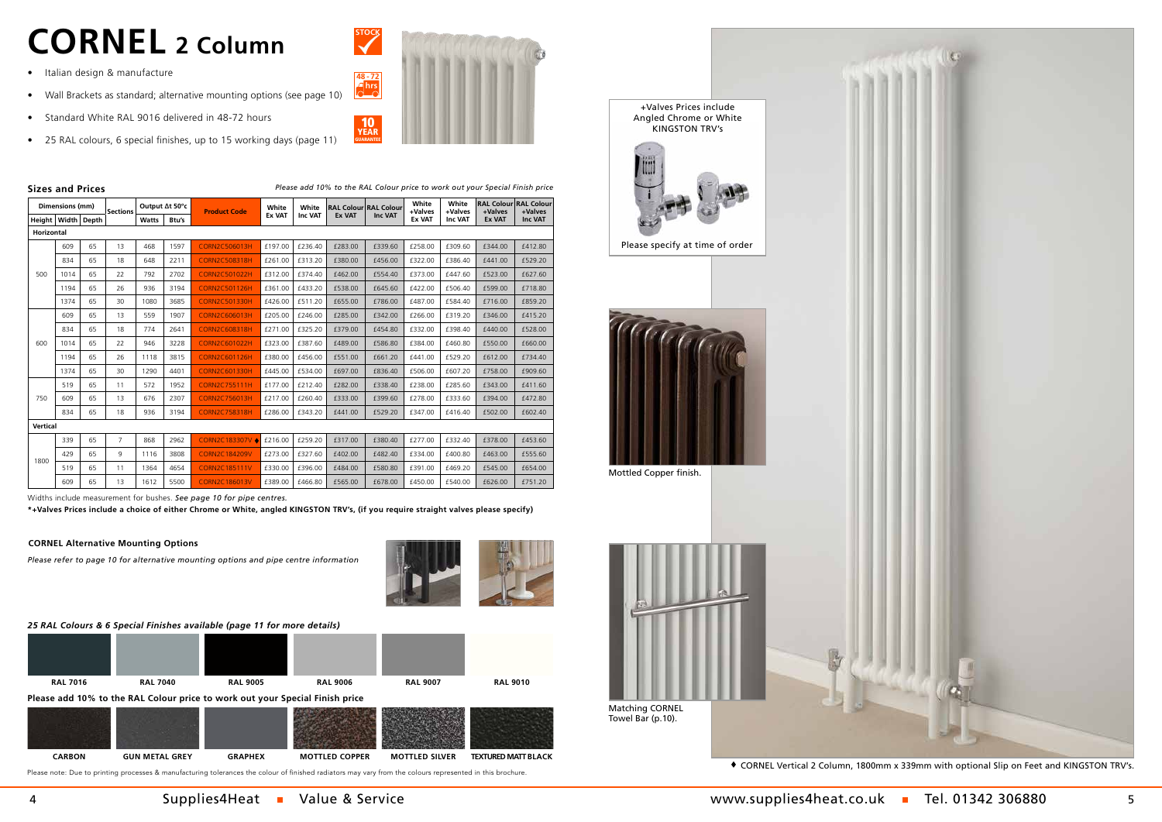|                          | Dimensions (mm)        |    | <b>Sections</b> |                                                                                                                                                                                                                                   | Output ∆t 50°c | <b>Product Code</b>  | White         | White          |               | <b>RAL Colour RAL Colour</b> | White<br>+Valves | White<br>+Valves | +Valves       | <b>RAL Colour RAL Colour</b><br>+Valves |
|--------------------------|------------------------|----|-----------------|-----------------------------------------------------------------------------------------------------------------------------------------------------------------------------------------------------------------------------------|----------------|----------------------|---------------|----------------|---------------|------------------------------|------------------|------------------|---------------|-----------------------------------------|
|                          | Height   Width   Depth |    |                 | <b>Watts</b>                                                                                                                                                                                                                      | Btu's          |                      | <b>Ex VAT</b> | <b>Inc VAT</b> | <b>Ex VAT</b> | <b>Inc VAT</b>               | <b>Ex VAT</b>    | Inc VAT          | <b>Ex VAT</b> | Inc VAT                                 |
|                          | Horizontal             |    |                 |                                                                                                                                                                                                                                   |                |                      |               |                |               |                              |                  |                  |               |                                         |
|                          | 609                    | 65 | 13              | 468                                                                                                                                                                                                                               | 1597           | <b>CORN2C506013H</b> | £197.00       | £236.40        | £283.00       | £339.60                      | £258.00          | £309.60          | £344.00       | £412.80                                 |
|                          | 834                    | 65 | 18              | 648                                                                                                                                                                                                                               | 2211           | <b>CORN2C508318H</b> | £261.00       | £313.20        | £380.00       | £456.00                      | £322.00          | £386.40          | £441.00       | £529.20                                 |
| 500                      | 1014                   | 65 | 22              | 792                                                                                                                                                                                                                               | 2702           | <b>CORN2C501022H</b> | £312.00       | £374.40        | £462.00       | £554.40                      | £373.00          | £447.60          | £523.00       | £627.60                                 |
|                          | 1194                   | 65 | 26              | 936                                                                                                                                                                                                                               | 3194           | <b>CORN2C501126H</b> | £361.00       | £433.20        | £538.00       | £645.60                      | £422.00          | £506.40          | £599.00       | £718.80                                 |
|                          | 1374                   | 65 | 30              | 1080                                                                                                                                                                                                                              | 3685           | <b>CORN2C501330H</b> | £426.00       | £511.20        | £655.00       | £786.00                      | £487.00          | £584.40          | £716.00       | £859.20                                 |
|                          | 609                    | 65 | 13              | 559                                                                                                                                                                                                                               | 1907           | CORN2C606013H        | £205.00       | £246.00        | £285.00       | £342.00                      | £266.00          | £319.20          | £346.00       | £415.20                                 |
|                          | 834                    | 65 | 18              | 774                                                                                                                                                                                                                               | 2641           | <b>CORN2C608318H</b> | £271.00       | £325.20        | £379.00       | £454.80                      | £332.00          | £398.40          | £440.00       | £528.00                                 |
| 600                      | 1014                   | 65 | 22              | 946                                                                                                                                                                                                                               | 3228           | CORN2C601022H        | £323.00       | £387.60        | £489.00       | £586.80                      | £384.00          | £460.80          | £550.00       | £660.00                                 |
|                          | 1194                   | 65 | 26              | 1118                                                                                                                                                                                                                              | 3815           | <b>CORN2C601126H</b> | £380.00       | £456.00        | £551.00       | £661.20                      | £441.00          | £529.20          | £612.00       | £734.40                                 |
|                          | 1374                   | 65 | 30              | 1290                                                                                                                                                                                                                              | 4401           | <b>CORN2C601330H</b> | £445.00       | £534.00        | £697.00       | £836.40                      | £506.00          | £607.20          | £758.00       | £909.60                                 |
|                          | 519                    | 65 | 11              | 572                                                                                                                                                                                                                               | 1952           | <b>CORN2C755111H</b> | £177.00       | £212.40        | £282.00       | £338.40                      | £238.00          | £285.60          | £343.00       | £411.60                                 |
| 750                      | 609                    | 65 | 13              | 676                                                                                                                                                                                                                               | 2307           | <b>CORN2C756013H</b> | £217.00       | £260.40        | £333.00       | £399.60                      | £278.00          | £333.60          | £394.00       | £472.80                                 |
|                          | 834                    | 65 | 18              | 936                                                                                                                                                                                                                               | 3194           | <b>CORN2C758318H</b> | £286.00       | £343.20        | £441.00       | £529.20                      | £347.00          | £416.40          | £502.00       | £602.40                                 |
| <b>Vertical</b>          |                        |    |                 |                                                                                                                                                                                                                                   |                |                      |               |                |               |                              |                  |                  |               |                                         |
|                          | 339                    | 65 | $\overline{7}$  | 868                                                                                                                                                                                                                               | 2962           | CORN2C183307V ♦      | £216.00       | £259.20        | £317.00       | £380.40                      | £277.00          | £332.40          | £378.00       | £453.60                                 |
|                          | 429                    | 65 | 9               | 1116                                                                                                                                                                                                                              | 3808           | <b>CORN2C184209V</b> | £273.00       | £327.60        | £402.00       | £482.40                      | £334.00          | £400.80          | £463.00       | £555.60                                 |
| 1800                     | 519                    | 65 | 11              | 1364                                                                                                                                                                                                                              | 4654           | <b>CORN2C185111V</b> | £330.00       | £396.00        | £484.00       | £580.80                      | £391.00          | £469.20          | £545.00       | £654.00                                 |
|                          | 609                    | 65 | 13              | 1612                                                                                                                                                                                                                              | 5500           | <b>CORN2C186013V</b> | £389.00       | £466.80        | £565.00       | £678.00                      | £450.00          | £540.00          | £626.00       | £751.20                                 |
| <b><i>AART LATER</i></b> |                        |    |                 | $\mathbf{r}$ . The contract of the contract of the contract of the contract of the contract of the contract of the contract of the contract of the contract of the contract of the contract of the contract of the contract of th |                | $\cdots$             |               |                |               |                              |                  |                  |               |                                         |

Widths include measurement for bushes. *See page 10 for pipe centres.*

**\*+Valves Prices include a choice of either Chrome or White, angled KINGSTON TRV's, (if you require straight valves please specify)**

Mottled Copper finish.



4 Supplies4Heat Nalue & Service 5 Supplies4heat.co.uk Tel. 01342 306880 5



 $\blacklozenge$  CORNEL Vertical 2 Column, 1800mm x 339mm with optional Slip on Feet and KINGSTON TRV's.

Towel Bar (p.10).





*Please add 10% to the RAL Colour price to work out your Special Finish price*

*Please refer to page 10 for alternative mounting options and pipe centre information*



## **Sizes and Prices**

# **CORNEL 2 Column**

- Italian design & manufacture
- Wall Brackets as standard; alternative mounting options (see page 10)
- Standard White RAL 9016 delivered in 48-72 hours
- 25 RAL colours, 6 special finishes, up to 15 working days (page 11)



## **CORNEL Alternative Mounting Options**

## *25 RAL Colours & 6 Special Finishes available (page 11 for more details)*

Please note: Due to printing processes & manufacturing tolerances the colour of finished radiators may vary from the colours represented in this brochure.





**Please add 10% to the RAL Colour price to work out your Special Finish price**

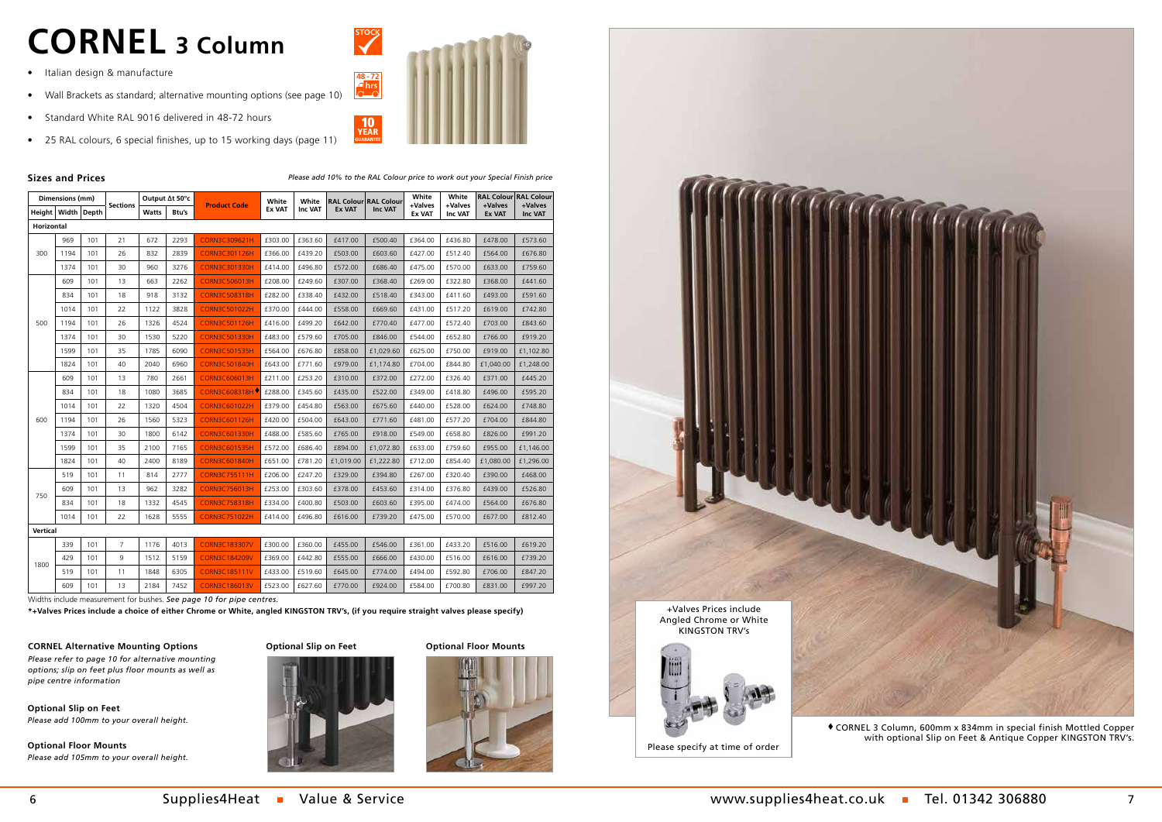| Dimensions (mm)        |      |     |                 |              |       | Output ∆t 50°c       |                        | White          |           | <b>RAL Colour RAL Colour</b> | White                    | White              |                          | <b>RAL Colour RAL Colour</b> |
|------------------------|------|-----|-----------------|--------------|-------|----------------------|------------------------|----------------|-----------|------------------------------|--------------------------|--------------------|--------------------------|------------------------------|
| Height   Width   Depth |      |     | <b>Sections</b> | <b>Watts</b> | Btu's | <b>Product Code</b>  | White<br><b>Ex VAT</b> | <b>Inc VAT</b> | Ex VAT    | <b>Inc VAT</b>               | +Valves<br><b>Ex VAT</b> | +Valves<br>Inc VAT | +Valves<br><b>Ex VAT</b> | +Valves<br><b>Inc VAT</b>    |
| Horizontal             |      |     |                 |              |       |                      |                        |                |           |                              |                          |                    |                          |                              |
|                        | 969  | 101 | 21              | 672          | 2293  | <b>CORN3C309621H</b> | £303.00                | £363.60        | £417.00   | £500.40                      | £364.00                  | £436.80            | £478.00                  | £573.60                      |
| 300                    | 1194 | 101 | 26              | 832          | 2839  | <b>CORN3C301126H</b> | £366.00                | £439.20        | £503.00   | £603.60                      | £427.00                  | £512.40            | £564.00                  | £676.80                      |
|                        | 1374 | 101 | 30              | 960          | 3276  | <b>CORN3C301330H</b> | £414.00                | £496.80        | £572.00   | £686.40                      | £475.00                  | £570.00            | £633.00                  | £759.60                      |
|                        | 609  | 101 | 13              | 663          | 2262  | <b>CORN3C506013H</b> | £208.00                | £249.60        | £307.00   | £368.40                      | £269.00                  | £322.80            | £368.00                  | £441.60                      |
|                        | 834  | 101 | 18              | 918          | 3132  | <b>CORN3C508318H</b> | £282.00                | £338.40        | £432.00   | £518.40                      | £343.00                  | £411.60            | £493.00                  | £591.60                      |
|                        | 1014 | 101 | 22              | 1122         | 3828  | <b>CORN3C501022H</b> | £370.00                | £444.00        | £558.00   | £669.60                      | £431.00                  | £517.20            | £619.00                  | £742.80                      |
| 500                    | 1194 | 101 | 26              | 1326         | 4524  | <b>CORN3C501126H</b> | £416.00                | £499.20        | £642.00   | £770.40                      | £477.00                  | £572.40            | £703.00                  | £843.60                      |
|                        | 1374 | 101 | 30              | 1530         | 5220  | <b>CORN3C501330H</b> | £483.00                | £579.60        | £705.00   | £846.00                      | £544.00                  | £652.80            | £766.00                  | £919.20                      |
|                        | 1599 | 101 | 35              | 1785         | 6090  | <b>CORN3C501535H</b> | £564.00                | £676.80        | £858.00   | £1,029.60                    | £625.00                  | £750.00            | £919.00                  | £1,102.80                    |
|                        | 1824 | 101 | 40              | 2040         | 6960  | <b>CORN3C501840H</b> | £643.00                | £771.60        | £979.00   | £1,174.80                    | £704.00                  | £844.80            | £1,040.00                | £1,248.00                    |
|                        | 609  | 101 | 13              | 780          | 2661  | <b>CORN3C606013H</b> | £211.00                | £253.20        | £310.00   | £372.00                      | £272.00                  | £326.40            | £371.00                  | £445.20                      |
|                        | 834  | 101 | 18              | 1080         | 3685  | <b>CORN3C608318H</b> | £288.00                | £345.60        | £435.00   | £522.00                      | £349.00                  | £418.80            | £496.00                  | £595.20                      |
|                        | 1014 | 101 | 22              | 1320         | 4504  | <b>CORN3C601022H</b> | £379.00                | £454.80        | £563.00   | £675.60                      | £440.00                  | £528.00            | £624.00                  | £748.80                      |
| 600                    | 1194 | 101 | 26              | 1560         | 5323  | <b>CORN3C601126H</b> | £420.00                | £504.00        | £643.00   | £771.60                      | £481.00                  | £577.20            | £704.00                  | £844.80                      |
|                        | 1374 | 101 | 30              | 1800         | 6142  | <b>CORN3C601330H</b> | £488.00                | £585.60        | £765.00   | £918.00                      | £549.00                  | £658.80            | £826.00                  | £991.20                      |
|                        | 1599 | 101 | 35              | 2100         | 7165  | <b>CORN3C601535H</b> | £572.00                | £686.40        | £894.00   | £1,072.80                    | £633.00                  | £759.60            | £955.00                  | £1,146.00                    |
|                        | 1824 | 101 | 40              | 2400         | 8189  | <b>CORN3C601840H</b> | £651.00                | £781.20        | £1,019.00 | £1,222.80                    | £712.00                  | £854.40            | £1,080.00                | £1,296.00                    |
|                        | 519  | 101 | 11              | 814          | 2777  | <b>CORN3C755111H</b> | £206.00                | £247.20        | £329.00   | £394.80                      | £267.00                  | £320.40            | £390.00                  | £468.00                      |
| 750                    | 609  | 101 | 13              | 962          | 3282  | <b>CORN3C756013H</b> | £253.00                | £303.60        | £378.00   | £453.60                      | £314.00                  | £376.80            | £439.00                  | £526.80                      |
|                        | 834  | 101 | 18              | 1332         | 4545  | <b>CORN3C758318H</b> | £334.00                | £400.80        | £503.00   | £603.60                      | £395.00                  | £474.00            | £564.00                  | £676.80                      |
|                        | 1014 | 101 | 22              | 1628         | 5555  | <b>CORN3C751022H</b> | £414.00                | £496.80        | £616.00   | £739.20                      | £475.00                  | £570.00            | £677.00                  | £812.40                      |
| Vertical               |      |     |                 |              |       |                      |                        |                |           |                              |                          |                    |                          |                              |
|                        | 339  | 101 | $\overline{7}$  | 1176         | 4013  | <b>CORN3C183307V</b> | £300.00                | £360.00        | £455.00   | £546.00                      | £361.00                  | £433.20            | £516.00                  | £619.20                      |
| 1800                   | 429  | 101 | 9               | 1512         | 5159  | <b>CORN3C184209V</b> | £369.00                | £442.80        | £555.00   | £666.00                      | £430.00                  | £516.00            | £616.00                  | £739.20                      |
|                        | 519  | 101 | 11              | 1848         | 6305  | <b>CORN3C185111V</b> | £433.00                | £519.60        | £645.00   | £774.00                      | £494.00                  | £592.80            | £706.00                  | £847.20                      |
|                        | 609  | 101 | 13              | 2184         | 7452  | <b>CORN3C186013V</b> | £523.00                | £627.60        | £770.00   | £924.00                      | £584.00                  | £700.80            | £831.00                  | £997.20                      |

 $\blacklozenge$  CORNEL 3 Column, 600mm x 834mm in special finish Mottled Copper with optional Slip on Feet & Antique Copper KINGSTON TRV's.

Please specify at time of order





Widths include measurement for bushes. *See page 10 for pipe centres.*

**\*+Valves Prices include a choice of either Chrome or White, angled KINGSTON TRV's, (if you require straight valves please specify)**

# **CORNEL 3 Column**

### **Sizes and Prices** *Please add 10% to the RAL Colour price to work out your Special Finish price*

- Italian design & manufacture
- Wall Brackets as standard; alternative mounting options (see page 10)
- Standard White RAL 9016 delivered in 48-72 hours
- 25 RAL colours, 6 special finishes, up to 15 working days (page 11)



*Please refer to page 10 for alternative mounting options; slip on feet plus floor mounts as well as pipe centre information*

### **CORNEL Alternative Mounting Options Optional Slip on Feet Optional Floor Mounts**

**Optional Slip on Feet** *Please add 100mm to your overall height.*

**Optional Floor Mounts** *Please add 105mm to your overall height.*

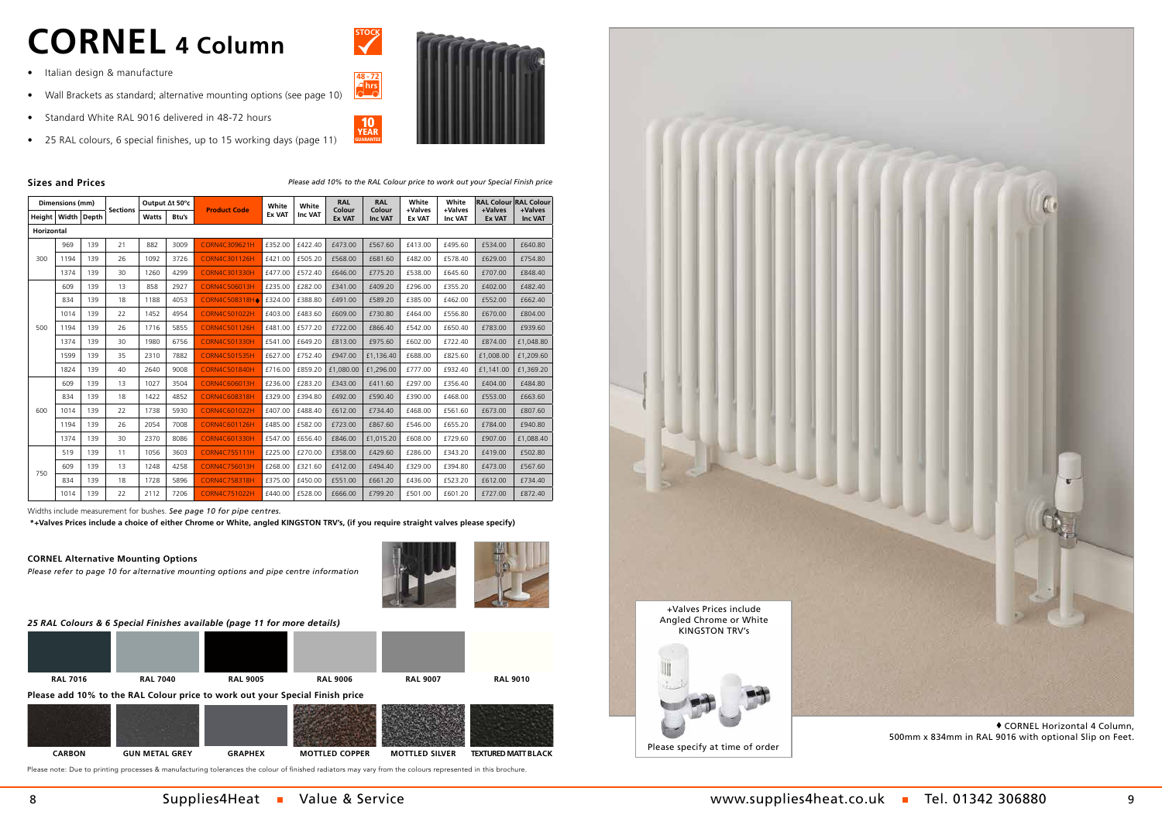|                   | Dimensions (mm) |       |                 |              | Output At 50°c |                      | White         | White   | <b>RAL</b>              | <b>RAL</b>               | White                    | White                     | <b>RAL Colour</b>        | <b>RAL Colour</b>         |
|-------------------|-----------------|-------|-----------------|--------------|----------------|----------------------|---------------|---------|-------------------------|--------------------------|--------------------------|---------------------------|--------------------------|---------------------------|
| Height            | Width l         | Depth | <b>Sections</b> | <b>Watts</b> | Btu's          | <b>Product Code</b>  | <b>Ex VAT</b> | Inc VAT | Colour<br><b>Ex VAT</b> | Colour<br><b>Inc VAT</b> | +Valves<br><b>Ex VAT</b> | +Valves<br><b>Inc VAT</b> | +Valves<br><b>Ex VAT</b> | +Valves<br><b>Inc VAT</b> |
| <b>Horizontal</b> |                 |       |                 |              |                |                      |               |         |                         |                          |                          |                           |                          |                           |
|                   | 969             | 139   | 21              | 882          | 3009           | <b>CORN4C309621H</b> | £352.00       | £422.40 | £473.00                 | £567.60                  | £413.00                  | £495.60                   | £534.00                  | £640.80                   |
| 300               | 1194            | 139   | 26              | 1092         | 3726           | <b>CORN4C301126H</b> | £421.00       | £505.20 | £568.00                 | £681.60                  | £482.00                  | £578.40                   | £629.00                  | £754.80                   |
|                   | 1374            | 139   | 30              | 1260         | 4299           | <b>CORN4C301330H</b> | £477.00       | £572.40 | £646.00                 | £775.20                  | £538.00                  | £645.60                   | £707.00                  | £848.40                   |
|                   | 609             | 139   | 13              | 858          | 2927           | <b>CORN4C506013H</b> | £235.00       | £282.00 | £341.00                 | £409.20                  | £296.00                  | £355.20                   | £402.00                  | £482.40                   |
|                   | 834             | 139   | 18              | 1188         | 4053           | CORN4C508318H        | £324.00       | £388.80 | £491.00                 | £589.20                  | £385.00                  | £462.00                   | £552.00                  | £662.40                   |
|                   | 1014            | 139   | 22              | 1452         | 4954           | <b>CORN4C501022H</b> | £403.00       | £483.60 | £609.00                 | £730.80                  | £464.00                  | £556.80                   | £670.00                  | £804.00                   |
| 500               | 1194            | 139   | 26              | 1716         | 5855           | <b>CORN4C501126H</b> | £481.00       | £577.20 | £722.00                 | £866.40                  | £542.00                  | £650.40                   | £783.00                  | £939.60                   |
|                   | 1374            | 139   | 30              | 1980         | 6756           | <b>CORN4C501330H</b> | £541.00       | £649.20 | £813.00                 | £975.60                  | £602.00                  | £722.40                   | £874.00                  | £1,048.80                 |
|                   | 1599            | 139   | 35              | 2310         | 7882           | <b>CORN4C501535H</b> | £627.00       | £752.40 | £947.00                 | £1,136.40                | £688.00                  | £825.60                   | £1,008.00                | £1,209.60                 |
|                   | 1824            | 139   | 40              | 2640         | 9008           | <b>CORN4C501840H</b> | £716.00       | £859.20 | £1,080.00               | £1,296.00                | £777.00                  | £932.40                   | £1,141.00                | £1,369.20                 |
|                   | 609             | 139   | 13              | 1027         | 3504           | <b>CORN4C606013H</b> | £236.00       | £283.20 | £343.00                 | £411.60                  | £297.00                  | £356.40                   | £404.00                  | £484.80                   |
|                   | 834             | 139   | 18              | 1422         | 4852           | <b>CORN4C608318H</b> | £329.00       | £394.80 | £492.00                 | £590.40                  | £390.00                  | £468.00                   | £553.00                  | £663.60                   |
| 600               | 1014            | 139   | 22              | 1738         | 5930           | <b>CORN4C601022H</b> | £407.00       | £488.40 | £612.00                 | £734.40                  | £468.00                  | £561.60                   | £673.00                  | £807.60                   |
|                   | 1194            | 139   | 26              | 2054         | 7008           | CORN4C601126H        | £485.00       | £582.00 | £723.00                 | £867.60                  | £546.00                  | £655.20                   | £784.00                  | £940.80                   |
|                   | 1374            | 139   | 30              | 2370         | 8086           | <b>CORN4C601330H</b> | £547.00       | £656.40 | £846.00                 | £1,015.20                | £608.00                  | £729.60                   | £907.00                  | £1,088.40                 |
|                   | 519             | 139   | 11              | 1056         | 3603           | <b>CORN4C755111H</b> | £225.00       | £270.00 | £358.00                 | £429.60                  | £286.00                  | £343.20                   | £419.00                  | £502.80                   |
| 750               | 609             | 139   | 13              | 1248         | 4258           | <b>CORN4C756013H</b> | £268.00       | £321.60 | £412.00                 | £494.40                  | £329.00                  | £394.80                   | £473.00                  | £567.60                   |
|                   | 834             | 139   | 18              | 1728         | 5896           | <b>CORN4C758318H</b> | £375.00       | £450.00 | £551.00                 | £661.20                  | £436.00                  | £523.20                   | £612.00                  | £734.40                   |
|                   | 1014            | 139   | 22              | 2112         | 7206           | <b>CORN4C751022H</b> | £440.00       | £528.00 | £666.00                 | £799.20                  | £501.00                  | £601.20                   | £727.00                  | £872.40                   |

 $\bullet$  CORNEL Horizontal 4 Column, 500mm x 834mm in RAL 9016 with optional Slip on Feet.

10 YEAR<br>GUARANTEE

Widths include measurement for bushes. *See page 10 for pipe centres.*

 **\*+Valves Prices include a choice of either Chrome or White, angled KINGSTON TRV's, (if you require straight valves please specify)**

Please specify at time of order

8 Supplies4Heat Nalue & Service 3 Supplies4heat.co.uk Tel. 01342 306880 9





# **CORNEL 4 Column**

### **Sizes and Prices** *Please add 10% to the RAL Colour price to work out your Special Finish price*

- Italian design & manufacture
- Wall Brackets as standard; alternative mounting options (see page 10)
- Standard White RAL 9016 delivered in 48-72 hours
- 25 RAL colours, 6 special finishes, up to 15 working days (page 11)



**STOCK**

**48 - 72 hrs**

*Please refer to page 10 for alternative mounting options and pipe centre information*



## **CORNEL Alternative Mounting Options**

## *25 RAL Colours & 6 Special Finishes available (page 11 for more details)* **RAL 7016 RAL 7040 RAL 9005 RAL 9006 Please add 10% to the RAL Colour price to work out your Special Finish price RAL 9007 RAL 9010**

Please note: Due to printing processes & manufacturing tolerances the colour of finished radiators may vary from the colours represented in this brochure.